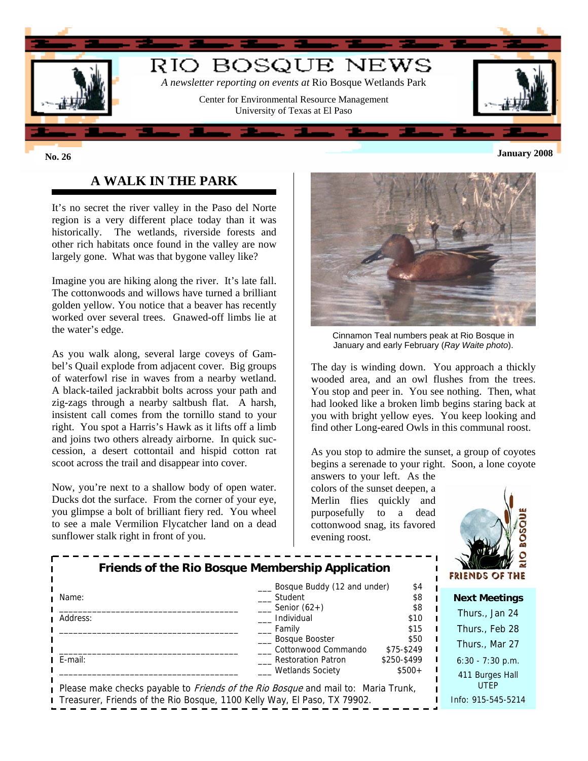

# **January 2008 No. 26**

# **A WALK IN THE PARK**

It's no secret the river valley in the Paso del Norte region is a very different place today than it was historically. The wetlands, riverside forests and other rich habitats once found in the valley are now largely gone. What was that bygone valley like?

Imagine you are hiking along the river. It's late fall. The cottonwoods and willows have turned a brilliant golden yellow. You notice that a beaver has recently worked over several trees. Gnawed-off limbs lie at the water's edge.

As you walk along, several large coveys of Gambel's Quail explode from adjacent cover. Big groups of waterfowl rise in waves from a nearby wetland. A black-tailed jackrabbit bolts across your path and zig-zags through a nearby saltbush flat. A harsh, insistent call comes from the tornillo stand to your right. You spot a Harris's Hawk as it lifts off a limb and joins two others already airborne. In quick succession, a desert cottontail and hispid cotton rat scoot across the trail and disappear into cover.

Now, you're next to a shallow body of open water. Ducks dot the surface. From the corner of your eye, you glimpse a bolt of brilliant fiery red. You wheel to see a male Vermilion Flycatcher land on a dead sunflower stalk right in front of you.



Cinnamon Teal numbers peak at Rio Bosque in January and early February (*Ray Waite photo*).

The day is winding down. You approach a thickly wooded area, and an owl flushes from the trees. You stop and peer in. You see nothing. Then, what had looked like a broken limb begins staring back at you with bright yellow eyes. You keep looking and find other Long-eared Owls in this communal roost.

As you stop to admire the sunset, a group of coyotes begins a serenade to your right. Soon, a lone coyote

answers to your left. As the colors of the sunset deepen, a Merlin flies quickly and purposefully to a dead cottonwood snag, its favored evening roost.



|                                                                                          | Friends of the Rio Bosque Membership Application |             |  | - 62<br>$M^3$ M $\sim$<br>FRIENDS OF THE |
|------------------------------------------------------------------------------------------|--------------------------------------------------|-------------|--|------------------------------------------|
|                                                                                          | Bosque Buddy (12 and under)                      | \$4         |  |                                          |
| Name:                                                                                    | Student                                          | \$8         |  | <b>Next Meetings</b>                     |
|                                                                                          | Senior $(62+)$                                   | \$8         |  | Thurs., Jan 24                           |
| Address:                                                                                 | Individual                                       | \$10        |  |                                          |
|                                                                                          | Family                                           | \$15        |  | Thurs., Feb 28                           |
|                                                                                          | __ Bosque Booster                                | \$50        |  | Thurs., Mar 27                           |
|                                                                                          | Cottonwood Commando                              | \$75-\$249  |  |                                          |
| $I$ E-mail:                                                                              | Restoration Patron                               | \$250-\$499 |  | $6:30 - 7:30$ p.m.                       |
|                                                                                          | <b>Wetlands Society</b>                          | $$500+$     |  | 411 Burges Hall                          |
| Please make checks payable to <i>Friends of the Rio Bosque</i> and mail to: Maria Trunk, |                                                  |             |  | <b>UTEP</b>                              |
| I Treasurer, Friends of the Rio Bosque, 1100 Kelly Way, El Paso, TX 79902.               |                                                  |             |  | Info: 915-545-5214                       |
|                                                                                          |                                                  |             |  |                                          |